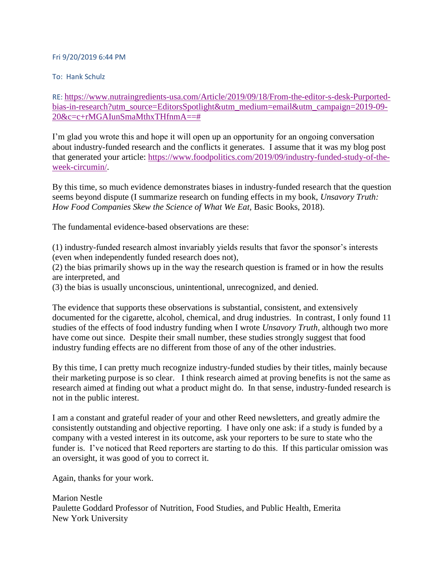## Fri 9/20/2019 6:44 PM

To: Hank Schulz

RE: [https://www.nutraingredients-usa.com/Article/2019/09/18/From-the-editor-s-desk-Purported](https://urldefense.proofpoint.com/v2/url?u=https-3A__www.nutraingredients-2Dusa.com_Article_2019_09_18_From-2Dthe-2Deditor-2Ds-2Ddesk-2DPurported-2Dbias-2Din-2Dresearch-3Futm-5Fsource-3DEditorsSpotlight-26utm-5Fmedium-3Demail-26utm-5Fcampaign-3D2019-2D09-2D20-26c-3Dc-2BrMGAIunSmaMthxTHfnmA-3D-3D&d=DwMFaQ&c=slrrB7dE8n7gBJbeO0g-IQ&r=Ot3cZ4eiuUPwiNJa6TEJ7HtofwOJH_f5Im9On8R25Ic&m=SpnJ1wHQVVxvVfyula7jXSJwI-9t_kWK93-Yxw3ytAg&s=9LrG1D_G9_8BA1MEspTeUYWZPIIZ2PWpWDzAchL4izA&e=)[bias-in-research?utm\\_source=EditorsSpotlight&utm\\_medium=email&utm\\_campaign=2019-09-](https://urldefense.proofpoint.com/v2/url?u=https-3A__www.nutraingredients-2Dusa.com_Article_2019_09_18_From-2Dthe-2Deditor-2Ds-2Ddesk-2DPurported-2Dbias-2Din-2Dresearch-3Futm-5Fsource-3DEditorsSpotlight-26utm-5Fmedium-3Demail-26utm-5Fcampaign-3D2019-2D09-2D20-26c-3Dc-2BrMGAIunSmaMthxTHfnmA-3D-3D&d=DwMFaQ&c=slrrB7dE8n7gBJbeO0g-IQ&r=Ot3cZ4eiuUPwiNJa6TEJ7HtofwOJH_f5Im9On8R25Ic&m=SpnJ1wHQVVxvVfyula7jXSJwI-9t_kWK93-Yxw3ytAg&s=9LrG1D_G9_8BA1MEspTeUYWZPIIZ2PWpWDzAchL4izA&e=) [20&c=c+rMGAIunSmaMthxTHfnmA==#](https://urldefense.proofpoint.com/v2/url?u=https-3A__www.nutraingredients-2Dusa.com_Article_2019_09_18_From-2Dthe-2Deditor-2Ds-2Ddesk-2DPurported-2Dbias-2Din-2Dresearch-3Futm-5Fsource-3DEditorsSpotlight-26utm-5Fmedium-3Demail-26utm-5Fcampaign-3D2019-2D09-2D20-26c-3Dc-2BrMGAIunSmaMthxTHfnmA-3D-3D&d=DwMFaQ&c=slrrB7dE8n7gBJbeO0g-IQ&r=Ot3cZ4eiuUPwiNJa6TEJ7HtofwOJH_f5Im9On8R25Ic&m=SpnJ1wHQVVxvVfyula7jXSJwI-9t_kWK93-Yxw3ytAg&s=9LrG1D_G9_8BA1MEspTeUYWZPIIZ2PWpWDzAchL4izA&e=)

I'm glad you wrote this and hope it will open up an opportunity for an ongoing conversation about industry-funded research and the conflicts it generates. I assume that it was my blog post that generated your article: [https://www.foodpolitics.com/2019/09/industry-funded-study-of-the](https://urldefense.proofpoint.com/v2/url?u=https-3A__www.foodpolitics.com_2019_09_industry-2Dfunded-2Dstudy-2Dof-2Dthe-2Dweek-2Dcircumin_&d=DwMFaQ&c=slrrB7dE8n7gBJbeO0g-IQ&r=Ot3cZ4eiuUPwiNJa6TEJ7HtofwOJH_f5Im9On8R25Ic&m=SpnJ1wHQVVxvVfyula7jXSJwI-9t_kWK93-Yxw3ytAg&s=UlE_RxTpTiBW4L0N8RLPpP_kIkxoV7JC_GF9wB_HOZo&e=)[week-circumin/.](https://urldefense.proofpoint.com/v2/url?u=https-3A__www.foodpolitics.com_2019_09_industry-2Dfunded-2Dstudy-2Dof-2Dthe-2Dweek-2Dcircumin_&d=DwMFaQ&c=slrrB7dE8n7gBJbeO0g-IQ&r=Ot3cZ4eiuUPwiNJa6TEJ7HtofwOJH_f5Im9On8R25Ic&m=SpnJ1wHQVVxvVfyula7jXSJwI-9t_kWK93-Yxw3ytAg&s=UlE_RxTpTiBW4L0N8RLPpP_kIkxoV7JC_GF9wB_HOZo&e=)

By this time, so much evidence demonstrates biases in industry-funded research that the question seems beyond dispute (I summarize research on funding effects in my book, *Unsavory Truth: How Food Companies Skew the Science of What We Eat,* Basic Books, 2018).

The fundamental evidence-based observations are these:

(1) industry-funded research almost invariably yields results that favor the sponsor's interests (even when independently funded research does not),

(2) the bias primarily shows up in the way the research question is framed or in how the results are interpreted, and

(3) the bias is usually unconscious, unintentional, unrecognized*,* and denied.

The evidence that supports these observations is substantial, consistent, and extensively documented for the cigarette, alcohol, chemical, and drug industries. In contrast, I only found 11 studies of the effects of food industry funding when I wrote *Unsavory Truth,* although two more have come out since. Despite their small number, these studies strongly suggest that food industry funding effects are no different from those of any of the other industries.

By this time, I can pretty much recognize industry-funded studies by their titles, mainly because their marketing purpose is so clear. I think research aimed at proving benefits is not the same as research aimed at finding out what a product might do. In that sense, industry-funded research is not in the public interest.

I am a constant and grateful reader of your and other Reed newsletters, and greatly admire the consistently outstanding and objective reporting. I have only one ask: if a study is funded by a company with a vested interest in its outcome, ask your reporters to be sure to state who the funder is. I've noticed that Reed reporters are starting to do this. If this particular omission was an oversight, it was good of you to correct it.

Again, thanks for your work.

Marion Nestle Paulette Goddard Professor of Nutrition, Food Studies, and Public Health, Emerita New York University